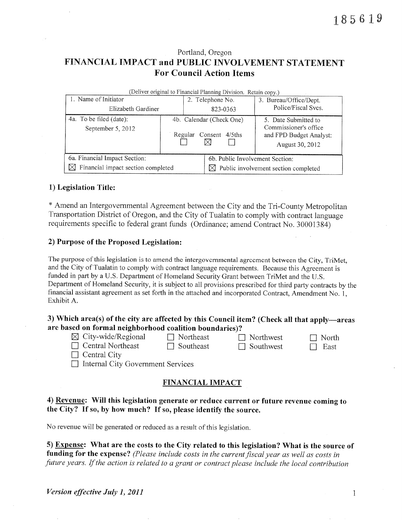# Portland, Oregon FINANCIAL IMPACT and PUBLIC INVOLVEMENT STATEMENT **For Council Action Items**

| (Deliver original to Financial Planning Division. Retain copy.) |  |                                 |                                                  |  |  |  |  |  |  |  |
|-----------------------------------------------------------------|--|---------------------------------|--------------------------------------------------|--|--|--|--|--|--|--|
| 1. Name of Initiator                                            |  | 2. Telephone No.                | 3. Bureau/Office/Dept.                           |  |  |  |  |  |  |  |
| Elizabeth Gardiner                                              |  | 823-0363                        | Police/Fiscal Svcs.                              |  |  |  |  |  |  |  |
| 4a. To be filed (date):                                         |  | 4b. Calendar (Check One)        | 5. Date Submitted to<br>Commissioner's office    |  |  |  |  |  |  |  |
| September 5, 2012                                               |  |                                 |                                                  |  |  |  |  |  |  |  |
|                                                                 |  | Consent 4/5ths<br>Regular       | and FPD Budget Analyst:                          |  |  |  |  |  |  |  |
|                                                                 |  |                                 | August 30, 2012                                  |  |  |  |  |  |  |  |
| 6a. Financial Impact Section:                                   |  | 6b. Public Involvement Section: |                                                  |  |  |  |  |  |  |  |
| $\boxtimes$ Financial impact section completed                  |  |                                 | $\boxtimes$ Public involvement section completed |  |  |  |  |  |  |  |

# 1) Legislation Title:

\* Amend an Intergovernmental Agreement between the City and the Tri-County Metropolitan Transportation District of Oregon, and the City of Tualatin to comply with contract language requirements specific to federal grant funds (Ordinance; amend Contract No. 30001384)

#### 2) Purpose of the Proposed Legislation:

The purpose of this legislation is to amend the intergovernmental agreement between the City, TriMet, and the City of Tualatin to comply with contract language requirements. Because this Agreement is funded in part by a U.S. Department of Homeland Security Grant between TriMet and the U.S. Department of Homeland Security, it is subject to all provisions prescribed for third party contracts by the financial assistant agreement as set forth in the attached and incorporated Contract, Amendment No. 1, Exhibit A.

# 3) Which area(s) of the city are affected by this Council item? (Check all that apply—areas are based on formal neighborhood coalition boundaries)?

- $\boxtimes$  City-wide/Regional
- $\Box$  Northeast  $\Box$  Southeast

 $\Box$  Northwest  $\Box$  Southwest

 $\Box$  North  $\Box$  East

 $\Box$  Central Northeast  $\Box$  Central City

□ Internal City Government Services

# **FINANCIAL IMPACT**

# 4) Revenue: Will this legislation generate or reduce current or future revenue coming to the City? If so, by how much? If so, please identify the source.

No revenue will be generated or reduced as a result of this legislation.

5) Expense: What are the costs to the City related to this legislation? What is the source of funding for the expense? (Please include costs in the current fiscal year as well as costs in future years. If the action is related to a grant or contract please include the local contribution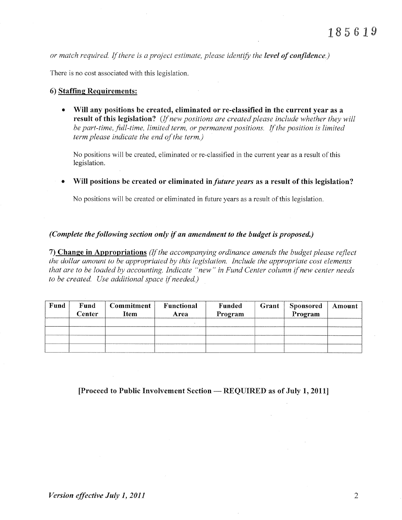or match required. If there is a project estimate, please identify the level of confidence.)

There is no cost associated with this legislation.

### 6) Staffine Requirements:

• Will any positions be created, eliminated or re-classified in the current year as a result of this legislation? (If new positions are created please include whether they will be part-time, full-time, limited term, or permanent positions. If the position is limited term please indicate the end of the term.)

No positions will be created, eliminated or re-classified in the current year as a result of this legislation.

• Will positions be created or eliminated in *future years* as a result of this legislation?

No positions will be created or eliminated in future years as a result of this legislation.

# (Complete the following section only if an amendment to the budget is proposed.)

7) Change in Appropriations (If the accompanying ordinance amends the budget please reflect the dollar amount to be appropriated by this legislation. Include the appropriate cost elements that are to be loaded by accounting. Indicate "new" in Fund Center column if new center needs to be created. Use additional space if needed.)

| Fund | Fund<br>Center | Commitment<br>Item | Functional<br>Area | Funded<br>Program | Grant | <b>Sponsored</b><br>Program | Amount |
|------|----------------|--------------------|--------------------|-------------------|-------|-----------------------------|--------|
|      |                |                    |                    |                   |       |                             |        |
|      |                |                    |                    |                   |       |                             |        |

[Proceed to Public Involvement Section — REQUIRED as of July 1, 2011]

 $\overline{2}$